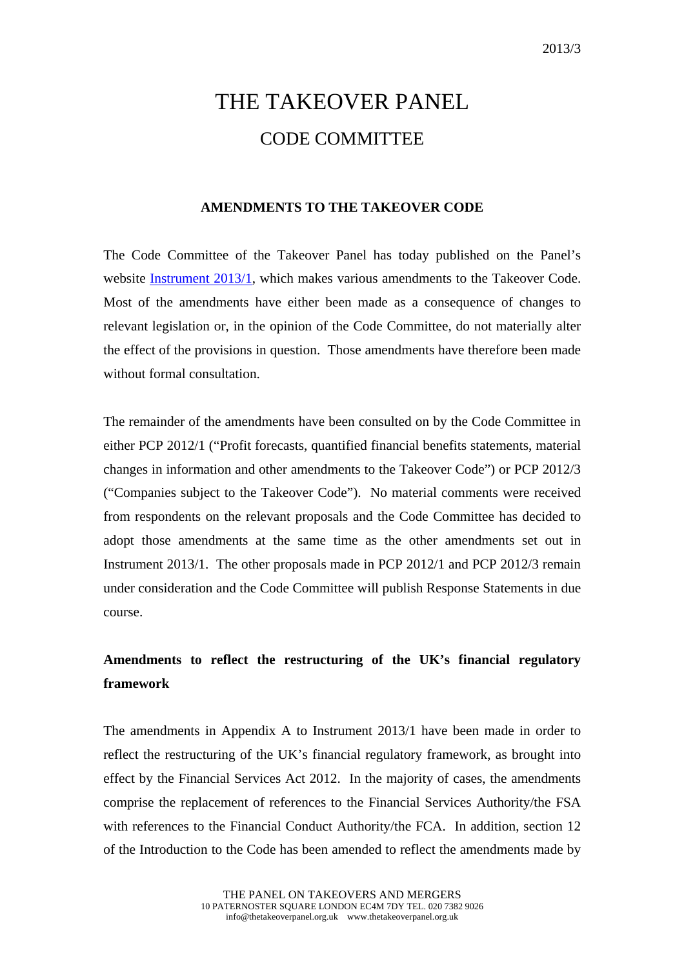# THE TAKEOVER PANEL CODE COMMITTEE

## **AMENDMENTS TO THE TAKEOVER CODE**

The Code Committee of the Takeover Panel has today published on the Panel's website [Instrument 2013/1,](http://www.thetakeoverpanel.org.uk/wp-content/uploads/2008/11/Instrument-2013-11.pdf) which makes various amendments to the Takeover Code. Most of the amendments have either been made as a consequence of changes to relevant legislation or, in the opinion of the Code Committee, do not materially alter the effect of the provisions in question. Those amendments have therefore been made without formal consultation.

The remainder of the amendments have been consulted on by the Code Committee in either PCP 2012/1 ("Profit forecasts, quantified financial benefits statements, material changes in information and other amendments to the Takeover Code") or PCP 2012/3 ("Companies subject to the Takeover Code"). No material comments were received from respondents on the relevant proposals and the Code Committee has decided to adopt those amendments at the same time as the other amendments set out in Instrument 2013/1. The other proposals made in PCP 2012/1 and PCP 2012/3 remain under consideration and the Code Committee will publish Response Statements in due course.

# **Amendments to reflect the restructuring of the UK's financial regulatory framework**

The amendments in Appendix A to Instrument 2013/1 have been made in order to reflect the restructuring of the UK's financial regulatory framework, as brought into effect by the Financial Services Act 2012. In the majority of cases, the amendments comprise the replacement of references to the Financial Services Authority/the FSA with references to the Financial Conduct Authority/the FCA. In addition, section 12 of the Introduction to the Code has been amended to reflect the amendments made by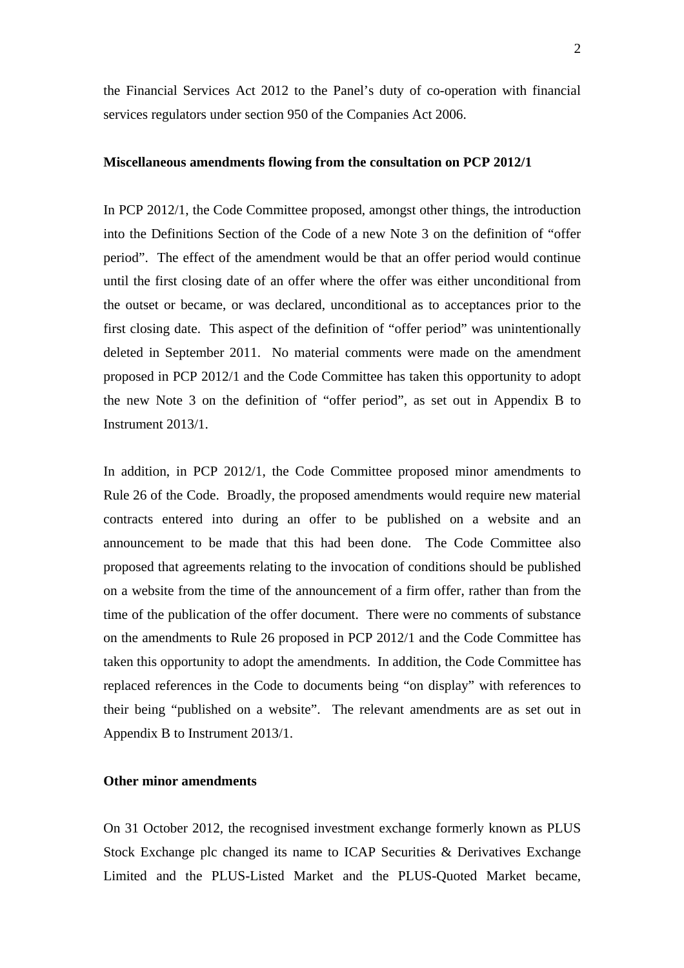the Financial Services Act 2012 to the Panel's duty of co-operation with financial services regulators under section 950 of the Companies Act 2006.

#### **Miscellaneous amendments flowing from the consultation on PCP 2012/1**

In PCP 2012/1, the Code Committee proposed, amongst other things, the introduction into the Definitions Section of the Code of a new Note 3 on the definition of "offer period". The effect of the amendment would be that an offer period would continue until the first closing date of an offer where the offer was either unconditional from the outset or became, or was declared, unconditional as to acceptances prior to the first closing date. This aspect of the definition of "offer period" was unintentionally deleted in September 2011. No material comments were made on the amendment proposed in PCP 2012/1 and the Code Committee has taken this opportunity to adopt the new Note 3 on the definition of "offer period", as set out in Appendix B to Instrument 2013/1.

In addition, in PCP 2012/1, the Code Committee proposed minor amendments to Rule 26 of the Code. Broadly, the proposed amendments would require new material contracts entered into during an offer to be published on a website and an announcement to be made that this had been done. The Code Committee also proposed that agreements relating to the invocation of conditions should be published on a website from the time of the announcement of a firm offer, rather than from the time of the publication of the offer document. There were no comments of substance on the amendments to Rule 26 proposed in PCP 2012/1 and the Code Committee has taken this opportunity to adopt the amendments. In addition, the Code Committee has replaced references in the Code to documents being "on display" with references to their being "published on a website". The relevant amendments are as set out in Appendix B to Instrument 2013/1.

### **Other minor amendments**

On 31 October 2012, the recognised investment exchange formerly known as PLUS Stock Exchange plc changed its name to ICAP Securities & Derivatives Exchange Limited and the PLUS-Listed Market and the PLUS-Quoted Market became,